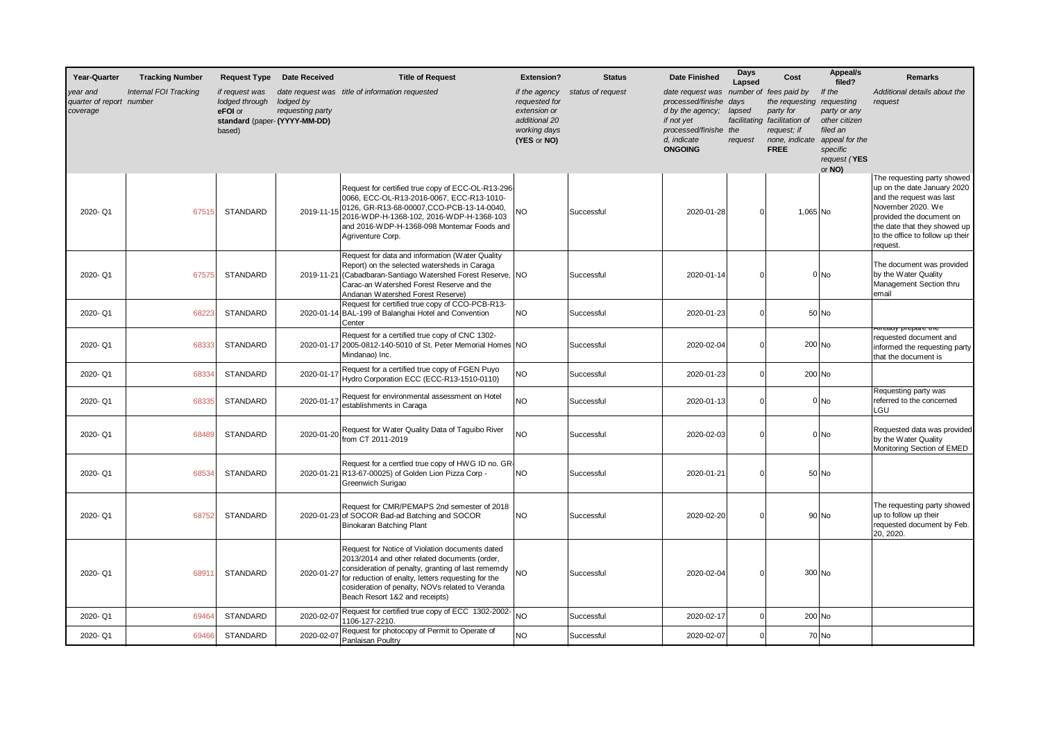| Year-Quarter                                     | <b>Tracking Number</b>       | <b>Request Type</b>                                   | <b>Date Received</b>                                           | <b>Title of Request</b>                                                                                                                                                                                                                                                                             | <b>Extension?</b>                                                                              | <b>Status</b>     | <b>Date Finished</b>                                                                                                              | Days<br>Lapsed            | Cost                                                                                                                                             | Appeal/s<br>filed?                                                                                          | <b>Remarks</b>                                                                                                                                                                                                          |
|--------------------------------------------------|------------------------------|-------------------------------------------------------|----------------------------------------------------------------|-----------------------------------------------------------------------------------------------------------------------------------------------------------------------------------------------------------------------------------------------------------------------------------------------------|------------------------------------------------------------------------------------------------|-------------------|-----------------------------------------------------------------------------------------------------------------------------------|---------------------------|--------------------------------------------------------------------------------------------------------------------------------------------------|-------------------------------------------------------------------------------------------------------------|-------------------------------------------------------------------------------------------------------------------------------------------------------------------------------------------------------------------------|
| rear and<br>quarter of report number<br>coverage | <b>Internal FOI Tracking</b> | if request was<br>lodged through<br>eFOI or<br>based) | lodged by<br>requesting party<br>standard (paper- (YYYY-MM-DD) | date request was title of information requested                                                                                                                                                                                                                                                     | if the agency<br>requested for<br>extension or<br>additional 20<br>working days<br>(YES or NO) | status of request | date request was<br>processed/finishe<br>d by the agency;<br>if not yet<br>processed/finishe the<br>d, indicate<br><b>ONGOING</b> | days<br>lapsed<br>request | number of fees paid by<br>the requesting requesting<br>party for<br>facilitating facilitation of<br>request; if<br>none, indicate<br><b>FREE</b> | If the<br>party or any<br>other citizen<br>filed an<br>appeal for the<br>specific<br>request (YES<br>or NO) | Additional details about the<br>request                                                                                                                                                                                 |
| 2020-Q1                                          | 67515                        | <b>STANDARD</b>                                       | 2019-11-15                                                     | Request for certified true copy of ECC-OL-R13-296-<br>0066, ECC-OL-R13-2016-0067, ECC-R13-1010-<br>0126, GR-R13-68-00007, CCO-PCB-13-14-0040,<br>2016-WDP-H-1368-102, 2016-WDP-H-1368-103<br>and 2016-WDP-H-1368-098 Montemar Foods and<br>Agriventure Corp.                                        | <b>NO</b>                                                                                      | Successful        | 2020-01-28                                                                                                                        |                           | 1,065 No                                                                                                                                         |                                                                                                             | The requesting party showed<br>up on the date January 2020<br>and the request was last<br>November 2020. We<br>provided the document on<br>the date that they showed up<br>to the office to follow up their<br>request. |
| 2020-Q1                                          | 67575                        | STANDARD                                              | 2019-11-21                                                     | Request for data and information (Water Quality<br>Report) on the selected watersheds in Caraga<br>(Cabadbaran-Santiago Watershed Forest Reserve, NO<br>Carac-an Watershed Forest Reserve and the<br>Andanan Watershed Forest Reserve)                                                              |                                                                                                | Successful        | 2020-01-14                                                                                                                        |                           |                                                                                                                                                  | 0 No                                                                                                        | The document was provided<br>by the Water Quality<br>Management Section thru<br>email                                                                                                                                   |
| 2020-Q1                                          | 68223                        | <b>STANDARD</b>                                       | 2020-01-14                                                     | Request for certified true copy of CCO-PCB-R13-<br>BAL-199 of Balanghai Hotel and Convention<br>Center                                                                                                                                                                                              | <b>NO</b>                                                                                      | Successful        | 2020-01-23                                                                                                                        | $\Omega$                  |                                                                                                                                                  | 50 No                                                                                                       |                                                                                                                                                                                                                         |
| 2020-Q1                                          | 68333                        | <b>STANDARD</b>                                       | 2020-01-17                                                     | Request for a certified true copy of CNC 1302-<br>2005-0812-140-5010 of St. Peter Memorial Homes NO<br>Mindanao) Inc.                                                                                                                                                                               |                                                                                                | Successful        | 2020-02-04                                                                                                                        |                           | 200 No                                                                                                                                           |                                                                                                             | <del>kireauy prepare trie</del><br>requested document and<br>informed the requesting party<br>that the document is                                                                                                      |
| 2020-Q1                                          | 68334                        | <b>STANDARD</b>                                       | 2020-01-1                                                      | Request for a certified true copy of FGEN Puyo<br>Hydro Corporation ECC (ECC-R13-1510-0110)                                                                                                                                                                                                         | <b>NO</b>                                                                                      | Successful        | 2020-01-23                                                                                                                        |                           | 200 No                                                                                                                                           |                                                                                                             |                                                                                                                                                                                                                         |
| 2020-Q1                                          | 68335                        | <b>STANDARD</b>                                       | 2020-01-1                                                      | Request for environmental assessment on Hotel<br>establishments in Caraga                                                                                                                                                                                                                           | <b>NO</b>                                                                                      | Successful        | 2020-01-13                                                                                                                        |                           |                                                                                                                                                  | $01$ No                                                                                                     | Requesting party was<br>referred to the concerned<br>LGU                                                                                                                                                                |
| 2020-Q1                                          | 68489                        | <b>STANDARD</b>                                       | 2020-01-20                                                     | Request for Water Quality Data of Taguibo River<br>from CT 2011-2019                                                                                                                                                                                                                                | <b>NO</b>                                                                                      | Successful        | 2020-02-03                                                                                                                        |                           |                                                                                                                                                  | 0 No                                                                                                        | Requested data was provided<br>by the Water Quality<br>Monitoring Section of EMED                                                                                                                                       |
| 2020-Q1                                          | 68534                        | STANDARD                                              |                                                                | Request for a certfied true copy of HWG ID no. GR-<br>2020-01-21 R13-67-00025) of Golden Lion Pizza Corp -<br>Greenwich Surigao                                                                                                                                                                     | <b>NO</b>                                                                                      | Successful        | 2020-01-21                                                                                                                        |                           |                                                                                                                                                  | 50 No                                                                                                       |                                                                                                                                                                                                                         |
| 2020-Q1                                          | 68752                        | STANDARD                                              |                                                                | Request for CMR/PEMAPS 2nd semester of 2018<br>2020-01-23 of SOCOR Bad-ad Batching and SOCOR<br>Binokaran Batching Plant                                                                                                                                                                            | <b>NO</b>                                                                                      | Successful        | 2020-02-20                                                                                                                        |                           |                                                                                                                                                  | 90 No                                                                                                       | The requesting party showed<br>up to follow up their<br>requested document by Feb.<br>20, 2020.                                                                                                                         |
| 2020-Q1                                          | 6891                         | STANDARD                                              | 2020-01-27                                                     | Request for Notice of Violation documents dated<br>2013/2014 and other related documents (order,<br>consideration of penalty, granting of last rememdy<br>for reduction of enalty, letters requesting for the<br>cosideration of penalty, NOVs related to Veranda<br>Beach Resort 1&2 and receipts) | <b>NO</b>                                                                                      | Successful        | 2020-02-04                                                                                                                        |                           | 300 No                                                                                                                                           |                                                                                                             |                                                                                                                                                                                                                         |
| 2020-Q1                                          | 69464                        | <b>STANDARD</b>                                       | 2020-02-0                                                      | Request for certified true copy of ECC 1302-2002-<br>1106-127-2210.                                                                                                                                                                                                                                 | <b>NO</b>                                                                                      | Successful        | 2020-02-17                                                                                                                        | $\Omega$                  | 200 No                                                                                                                                           |                                                                                                             |                                                                                                                                                                                                                         |
| 2020-Q1                                          | 69466                        | STANDARD                                              | 2020-02-07                                                     | Request for photocopy of Permit to Operate of<br>Panlaisan Poultry                                                                                                                                                                                                                                  | <b>NO</b>                                                                                      | Successful        | 2020-02-07                                                                                                                        |                           |                                                                                                                                                  | 70 No                                                                                                       |                                                                                                                                                                                                                         |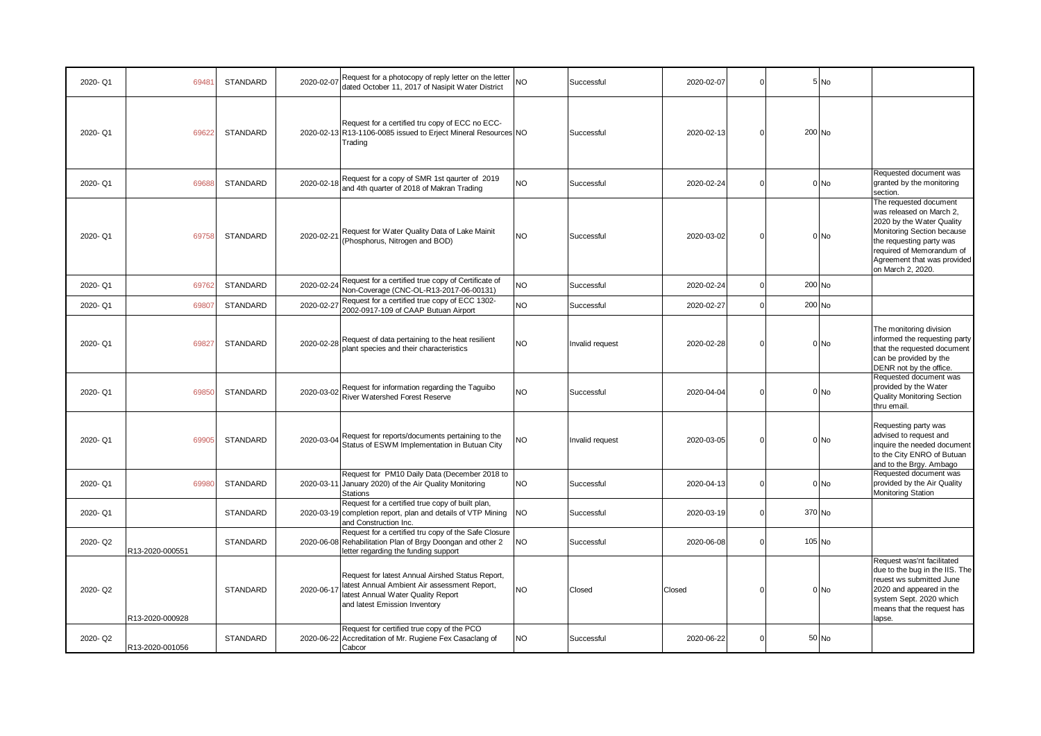|         |                 |                 |            | Request for a photocopy of reply letter on the letter                                                                                                                   |           |                 |            |                             |                 |                                                                                                                                                                                                                            |
|---------|-----------------|-----------------|------------|-------------------------------------------------------------------------------------------------------------------------------------------------------------------------|-----------|-----------------|------------|-----------------------------|-----------------|----------------------------------------------------------------------------------------------------------------------------------------------------------------------------------------------------------------------------|
| 2020-Q1 | 69481           | STANDARD        | 2020-02-07 | dated October 11, 2017 of Nasipit Water District                                                                                                                        | <b>NO</b> | Successful      | 2020-02-07 | O                           | $5$ No          |                                                                                                                                                                                                                            |
| 2020-Q1 | 69622           | STANDARD        |            | Request for a certified tru copy of ECC no ECC-<br>2020-02-13 R13-1106-0085 issued to Erject Mineral Resources NO<br>Trading                                            |           | Successfu       | 2020-02-13 | $\Omega$                    | 200 No          |                                                                                                                                                                                                                            |
| 2020-Q1 | 69688           | STANDARD        | 2020-02-18 | Request for a copy of SMR 1st qaurter of 2019<br>and 4th quarter of 2018 of Makran Trading                                                                              | NO        | Successful      | 2020-02-24 | $\Omega$                    | $0 $ No         | Requested document was<br>granted by the monitoring<br>section.                                                                                                                                                            |
| 2020-Q1 | 69758           | STANDARD        | 2020-02-21 | Request for Water Quality Data of Lake Mainit<br>(Phosphorus, Nitrogen and BOD)                                                                                         | <b>NO</b> | Successful      | 2020-03-02 | C                           | 0 No            | The requested document<br>was released on March 2,<br>2020 by the Water Quality<br>Monitoring Section because<br>the requesting party was<br>required of Memorandum of<br>Agreement that was provided<br>on March 2, 2020. |
| 2020-Q1 | 69762           | STANDARD        | 2020-02-24 | Request for a certified true copy of Certificate of<br>Non-Coverage (CNC-OL-R13-2017-06-00131)                                                                          | <b>NO</b> | Successful      | 2020-02-24 | $\epsilon$                  | 200 No          |                                                                                                                                                                                                                            |
| 2020-Q1 | 69807           | STANDARD        | 2020-02-27 | Request for a certified true copy of ECC 1302-<br>2002-0917-109 of CAAP Butuan Airport                                                                                  | <b>NO</b> | Successful      | 2020-02-27 | $\Omega$                    | 200 No          |                                                                                                                                                                                                                            |
| 2020-Q1 | 69827           | STANDARD        |            | 2020-02-28 Request of data pertaining to the heat resilient<br>plant species and their characteristics                                                                  | <b>NO</b> | Invalid request | 2020-02-28 | $\Omega$                    | 0 No            | The monitoring division<br>informed the requesting party<br>that the requested document<br>can be provided by the<br>DENR not by the office.                                                                               |
| 2020-Q1 | 69850           | <b>STANDARD</b> |            | 2020-03-02 Request for information regarding the Taguibo<br>River Watershed Forest Reserve                                                                              | NO        | Successful      | 2020-04-04 | $\mathcal{C}_{\mathcal{C}}$ | $0$ No          | Requested document was<br>provided by the Water<br><b>Quality Monitoring Section</b><br>thru email.                                                                                                                        |
| 2020-Q1 | 69905           | <b>STANDARD</b> | 2020-03-04 | Request for reports/documents pertaining to the<br>Status of ESWM Implementation in Butuan City                                                                         | <b>NO</b> | Invalid request | 2020-03-05 | O                           | 0 <sub>No</sub> | Requesting party was<br>advised to request and<br>inquire the needed document<br>to the City ENRO of Butuan<br>and to the Brgy. Ambago                                                                                     |
| 2020-Q1 | 69980           | STANDARD        |            | Request for PM10 Daily Data (December 2018 to<br>2020-03-11 January 2020) of the Air Quality Monitoring<br><b>Stations</b>                                              | <b>NO</b> | Successful      | 2020-04-13 | $\Omega$                    | $0$ No          | Requested document was<br>provided by the Air Quality<br>Monitoring Station                                                                                                                                                |
| 2020-Q1 |                 | STANDARD        |            | Request for a certified true copy of built plan,<br>2020-03-19 completion report, plan and details of VTP Mining<br>and Construction Inc.                               | NO        | Successful      | 2020-03-19 | $\Omega$                    | 370 No          |                                                                                                                                                                                                                            |
| 2020-Q2 | R13-2020-000551 | <b>STANDARD</b> |            | Request for a certified tru copy of the Safe Closure<br>2020-06-08 Rehabilitation Plan of Brgy Doongan and other 2<br>letter regarding the funding support              | <b>NO</b> | Successful      | 2020-06-08 | $\Omega$                    | 105 No          |                                                                                                                                                                                                                            |
| 2020-Q2 | R13-2020-000928 | STANDARD        | 2020-06-17 | Request for latest Annual Airshed Status Report,<br>latest Annual Ambient Air assessment Report,<br>latest Annual Water Quality Report<br>and latest Emission Inventory | <b>NO</b> | Closed          | Closed     | ſ                           | $0$ No          | Request was'nt facilitated<br>due to the bug in the IIS. The<br>reuest ws submitted June<br>2020 and appeared in the<br>system Sept. 2020 which<br>means that the request has<br>lapse.                                    |
| 2020-Q2 |                 | STANDARD        |            | Request for certified true copy of the PCO<br>2020-06-22 Accreditation of Mr. Rugiene Fex Casaclang of                                                                  | NO        | Successful      | 2020-06-22 | $\epsilon$                  | 50 No           |                                                                                                                                                                                                                            |
|         | R13-2020-001056 |                 |            | Cabcor                                                                                                                                                                  |           |                 |            |                             |                 |                                                                                                                                                                                                                            |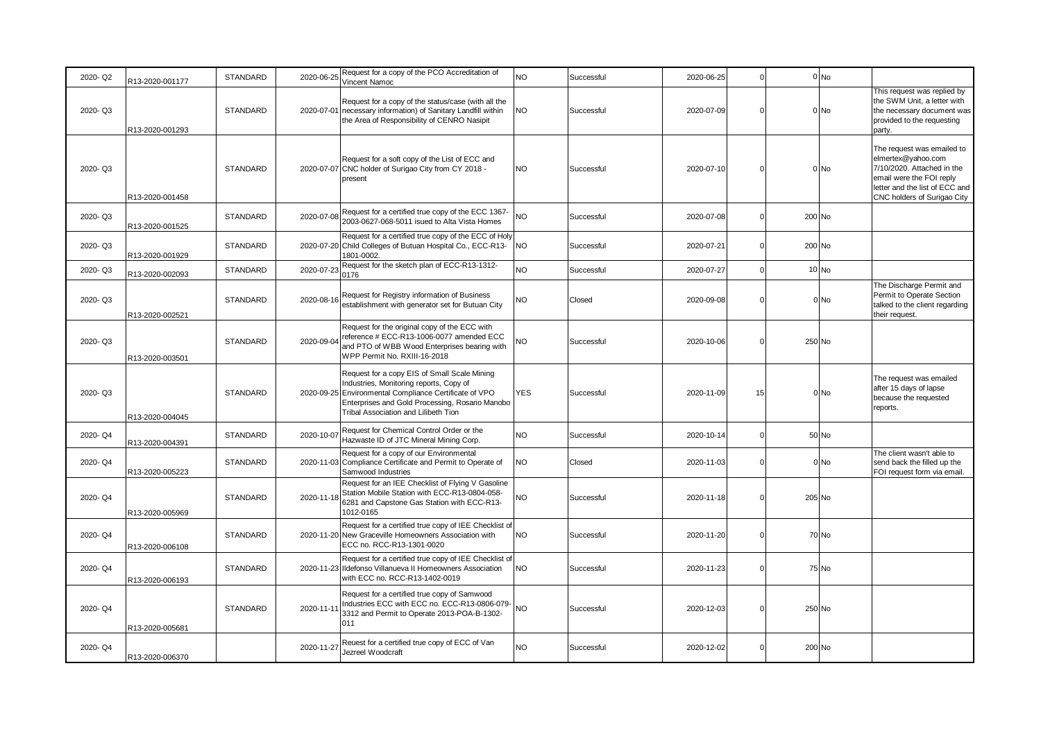| 2020-Q2 | R13-2020-001177 | <b>STANDARD</b> | 2020-06-25 | Request for a copy of the PCO Accreditation of<br>Vincent Namoc                                                                                                                                                                              | NO             | Successful | 2020-06-25 | $\Omega$ |        | $0$ No  |                                                                                                                                                                             |
|---------|-----------------|-----------------|------------|----------------------------------------------------------------------------------------------------------------------------------------------------------------------------------------------------------------------------------------------|----------------|------------|------------|----------|--------|---------|-----------------------------------------------------------------------------------------------------------------------------------------------------------------------------|
| 2020-Q3 | R13-2020-001293 | <b>STANDARD</b> |            | Request for a copy of the status/case (with all the<br>2020-07-01 necessary information) of Sanitary Landfill within<br>the Area of Responsibility of CENRO Nasipit                                                                          | N <sub>O</sub> | Successful | 2020-07-09 |          |        | $0 $ No | This request was replied by<br>the SWM Unit, a letter with<br>the necessary document was<br>provided to the requesting<br>party.                                            |
| 2020-Q3 | R13-2020-001458 | STANDARD        |            | Request for a soft copy of the List of ECC and<br>2020-07-07 CNC holder of Surigao City from CY 2018 -<br>present                                                                                                                            | N <sub>O</sub> | Successful | 2020-07-10 | U        |        | $0$ No  | The request was emailed to<br>elmertex@yahoo.com<br>7/10/2020. Attached in the<br>email were the FOI reply<br>letter and the list of ECC and<br>CNC holders of Surigao City |
| 2020-Q3 | R13-2020-001525 | <b>STANDARD</b> | 2020-07-08 | Request for a certified true copy of the ECC 1367-<br>2003-0627-068-5011 isued to Alta Vista Homes                                                                                                                                           | <b>NO</b>      | Successful | 2020-07-08 | O        | 200 No |         |                                                                                                                                                                             |
| 2020-Q3 | R13-2020-001929 | STANDARD        |            | Request for a certified true copy of the ECC of Holy<br>2020-07-20 Child Colleges of Butuan Hospital Co., ECC-R13-<br>1801-0002.                                                                                                             | <b>NO</b>      | Successful | 2020-07-21 | $\Omega$ | 200 No |         |                                                                                                                                                                             |
| 2020-Q3 | R13-2020-002093 | STANDARD        | 2020-07-23 | Request for the sketch plan of ECC-R13-1312-<br>0176                                                                                                                                                                                         | <b>NO</b>      | Successful | 2020-07-27 | $\Omega$ |        | $10$ No |                                                                                                                                                                             |
| 2020-Q3 | R13-2020-002521 | STANDARD        | 2020-08-16 | Request for Registry information of Business<br>establishment with generator set for Butuan City                                                                                                                                             | <b>NO</b>      | Closed     | 2020-09-08 |          |        | $0$ No  | The Discharge Permit and<br>Permit to Operate Section<br>talked to the client regarding<br>their request.                                                                   |
| 2020-Q3 | R13-2020-003501 | <b>STANDARD</b> | 2020-09-04 | Request for the original copy of the ECC with<br>reference # ECC-R13-1006-0077 amended ECC<br>and PTO of WBB Wood Enterprises bearing with<br>WPP Permit No. RXIII-16-2018                                                                   | <b>NO</b>      | Successful | 2020-10-06 | n        | 250 No |         |                                                                                                                                                                             |
| 2020-Q3 | R13-2020-004045 | <b>STANDARD</b> |            | Request for a copy EIS of Small Scale Mining<br>Industries, Monitoring reports, Copy of<br>2020-09-25 Environmental Compliance Certificate of VPO<br>Enterprises and Gold Processing, Rosario Manobo<br>Tribal Association and Lilibeth Tion | <b>YES</b>     | Successful | 2020-11-09 | 15       |        | 0 No    | The request was emailed<br>after 15 days of lapse<br>because the requested<br>reports.                                                                                      |
| 2020-Q4 | R13-2020-004391 | STANDARD        | 2020-10-07 | Request for Chemical Control Order or the<br>Hazwaste ID of JTC Mineral Mining Corp.                                                                                                                                                         | <b>NO</b>      | Successful | 2020-10-14 |          |        | 50 No   |                                                                                                                                                                             |
| 2020-Q4 | R13-2020-005223 | STANDARD        |            | Request for a copy of our Environmental<br>2020-11-03 Compliance Certificate and Permit to Operate of<br>Samwood Industries                                                                                                                  | <b>NO</b>      | Closed     | 2020-11-03 | O        |        | 0 No    | The client wasn't able to<br>send back the filled up the<br>FOI request form via email.                                                                                     |
| 2020-Q4 | R13-2020-005969 | <b>STANDARD</b> | 2020-11-18 | Request for an IEE Checklist of Flying V Gasoline<br>Station Mobile Station with ECC-R13-0804-058-<br>6281 and Capstone Gas Station with ECC-R13-<br>1012-0165                                                                               | <b>NO</b>      | Successful | 2020-11-18 |          | 205 No |         |                                                                                                                                                                             |
| 2020-Q4 | R13-2020-006108 | STANDARD        |            | Request for a certified true copy of IEE Checklist of<br>2020-11-20 New Graceville Homeowners Association with<br>ECC no. RCC-R13-1301-0020                                                                                                  | N <sub>O</sub> | Successful | 2020-11-20 | $\Omega$ |        | 70 No   |                                                                                                                                                                             |
| 2020-Q4 | R13-2020-006193 | STANDARD        |            | Request for a certified true copy of IEE Checklist of<br>2020-11-23 Ildefonso Villanueva II Homeowners Association<br>with ECC no. RCC-R13-1402-0019                                                                                         | <b>NO</b>      | Successful | 2020-11-23 | $\Omega$ |        | 75 No   |                                                                                                                                                                             |
| 2020-Q4 | R13-2020-005681 | STANDARD        | 2020-11-1  | Request for a certified true copy of Samwood<br>Industries ECC with ECC no. ECC-R13-0806-079-<br>3312 and Permit to Operate 2013-POA-B-1302-<br>011                                                                                          | <b>NO</b>      | Successful | 2020-12-03 |          | 250 No |         |                                                                                                                                                                             |
| 2020-Q4 | R13-2020-006370 |                 | 2020-11-27 | Reuest for a certified true copy of ECC of Van<br>Jezreel Woodcraft                                                                                                                                                                          | NO             | Successful | 2020-12-02 | $\Omega$ | 200 No |         |                                                                                                                                                                             |